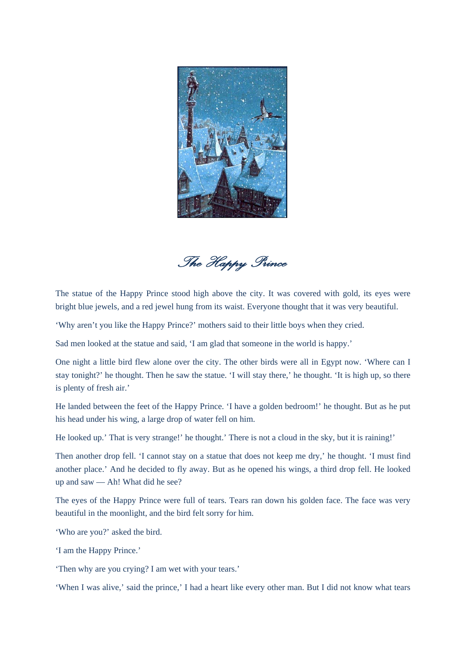

*The Happy Prince* 

The statue of the Happy Prince stood high above the city. It was covered with gold, its eyes were bright blue jewels, and a red jewel hung from its waist. Everyone thought that it was very beautiful.

'Why aren't you like the Happy Prince?' mothers said to their little boys when they cried.

Sad men looked at the statue and said, 'I am glad that someone in the world is happy.'

One night a little bird flew alone over the city. The other birds were all in Egypt now. 'Where can I stay tonight?' he thought. Then he saw the statue. 'I will stay there,' he thought. 'It is high up, so there is plenty of fresh air.'

He landed between the feet of the Happy Prince. 'I have a golden bedroom!' he thought. But as he put his head under his wing, a large drop of water fell on him.

He looked up.' That is very strange!' he thought.' There is not a cloud in the sky, but it is raining!'

Then another drop fell. 'I cannot stay on a statue that does not keep me dry,' he thought. 'I must find another place.' And he decided to fly away. But as he opened his wings, a third drop fell. He looked up and saw — Ah! What did he see?

The eyes of the Happy Prince were full of tears. Tears ran down his golden face. The face was very beautiful in the moonlight, and the bird felt sorry for him.

'Who are you?' asked the bird.

'I am the Happy Prince.'

'Then why are you crying? I am wet with your tears.'

'When I was alive,' said the prince,' I had a heart like every other man. But I did not know what tears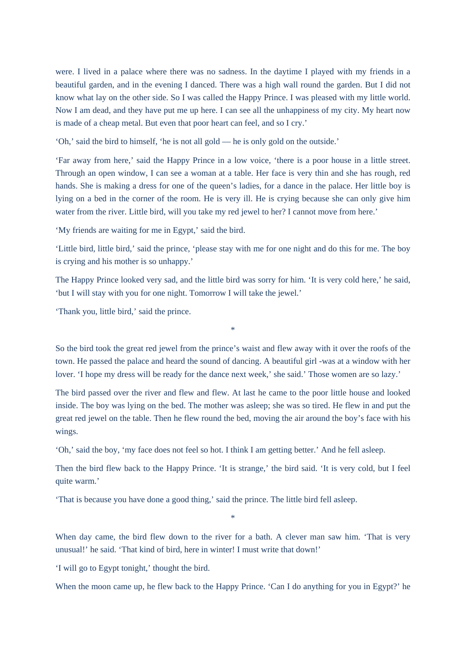were. I lived in a palace where there was no sadness. In the daytime I played with my friends in a beautiful garden, and in the evening I danced. There was a high wall round the garden. But I did not know what lay on the other side. So I was called the Happy Prince. I was pleased with my little world. Now I am dead, and they have put me up here. I can see all the unhappiness of my city. My heart now is made of a cheap metal. But even that poor heart can feel, and so I cry.'

'Oh,' said the bird to himself, 'he is not all gold — he is only gold on the outside.'

'Far away from here,' said the Happy Prince in a low voice, 'there is a poor house in a little street. Through an open window, I can see a woman at a table. Her face is very thin and she has rough, red hands. She is making a dress for one of the queen's ladies, for a dance in the palace. Her little boy is lying on a bed in the corner of the room. He is very ill. He is crying because she can only give him water from the river. Little bird, will you take my red jewel to her? I cannot move from here.'

'My friends are waiting for me in Egypt,' said the bird.

'Little bird, little bird,' said the prince, 'please stay with me for one night and do this for me. The boy is crying and his mother is so unhappy.'

The Happy Prince looked very sad, and the little bird was sorry for him. 'It is very cold here,' he said, 'but I will stay with you for one night. Tomorrow I will take the jewel.'

'Thank you, little bird,' said the prince.

So the bird took the great red jewel from the prince's waist and flew away with it over the roofs of the town. He passed the palace and heard the sound of dancing. A beautiful girl -was at a window with her lover. 'I hope my dress will be ready for the dance next week,' she said.' Those women are so lazy.'

\*

The bird passed over the river and flew and flew. At last he came to the poor little house and looked inside. The boy was lying on the bed. The mother was asleep; she was so tired. He flew in and put the great red jewel on the table. Then he flew round the bed, moving the air around the boy's face with his wings.

'Oh,' said the boy, 'my face does not feel so hot. I think I am getting better.' And he fell asleep.

Then the bird flew back to the Happy Prince. 'It is strange,' the bird said. 'It is very cold, but I feel quite warm.'

'That is because you have done a good thing,' said the prince. The little bird fell asleep.

When day came, the bird flew down to the river for a bath. A clever man saw him. 'That is very unusual!' he said. 'That kind of bird, here in winter! I must write that down!'

\*

'I will go to Egypt tonight,' thought the bird.

When the moon came up, he flew back to the Happy Prince. 'Can I do anything for you in Egypt?' he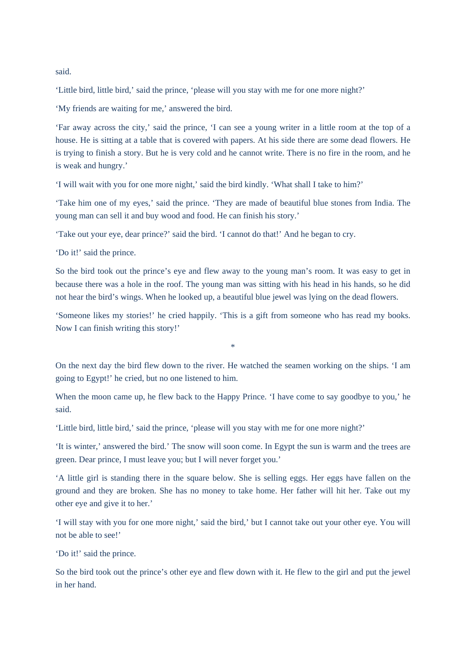said.

'Little bird, little bird,' said the prince, 'please will you stay with me for one more night?'

'My friends are waiting for me,' answered the bird.

'Far away across the city,' said the prince, 'I can see a young writer in a little room at the top of a house. He is sitting at a table that is covered with papers. At his side there are some dead flowers. He is trying to finish a story. But he is very cold and he cannot write. There is no fire in the room, and he is weak and hungry.'

'I will wait with you for one more night,' said the bird kindly. 'What shall I take to him?'

'Take him one of my eyes,' said the prince. 'They are made of beautiful blue stones from India. The young man can sell it and buy wood and food. He can finish his story.'

'Take out your eye, dear prince?' said the bird. 'I cannot do that!' And he began to cry.

'Do it!' said the prince.

So the bird took out the prince's eye and flew away to the young man's room. It was easy to get in because there was a hole in the roof. The young man was sitting with his head in his hands, so he did not hear the bird's wings. When he looked up, a beautiful blue jewel was lying on the dead flowers.

. 'Someone likes my stories!' he cried happily. 'This is a gift from someone who has read my books Now I can finish writing this story!'

\*

On the next day the bird flew down to the river. He watched the seamen working on the ships. 'I am going to Egypt!' he cried, but no one listened to him.

When the moon came up, he flew back to the Happy Prince. 'I have come to say goodbye to you,' he said.

'Little bird, little bird,' said the prince, 'please will you stay with me for one more night?'

'It is winter,' answered the bird.' The snow will soon come. In Egypt the sun is warm and the trees are green. Dear prince, I must leave you; but I will never forget you.'

'A little girl is standing there in the square below. She is selling eggs. Her eggs have fallen on the ground and they are broken. She has no money to take home. Her father will hit her. Take out my other eye and give it to her.'

'I will stay with you for one more night,' said the bird,' but I cannot take out your other eye. You will not be able to see!'

'Do it!' said the prince.

So the bird took out the prince's other eye and flew down with it. He flew to the girl and put the jewel in her hand.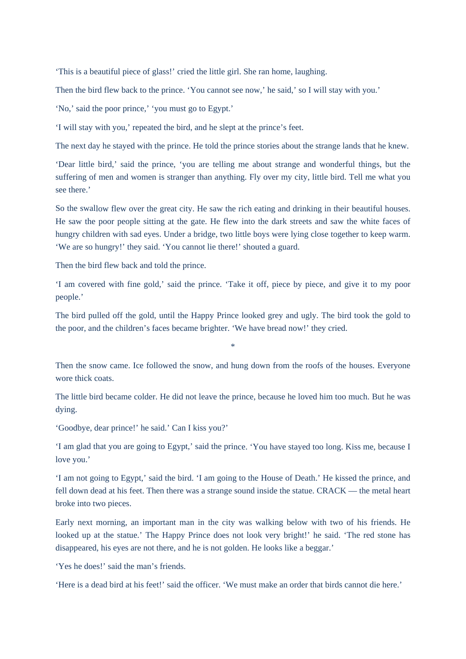'This is a beautiful piece of glass!' cried the little girl. She ran home, laughing.

Then the bird flew back to the prince. 'You cannot see now,' he said,' so I will stay with you.'

'No,' said the poor prince,' 'you must go to Egypt.'

'I will stay with you,' repeated the bird, and he slept at the prince's feet.

The next day he stayed with the prince. He told the prince stories about the strange lands that he knew.

'Dear little bird,' said the prince, 'you are telling me about strange and wonderful things, but the suffering of men and women is stranger than anything. Fly over my city, little bird. Tell me what you see there.'

So the swallow flew over the great city. He saw the rich eating and drinking in their beautiful houses. He saw the poor people sitting at the gate. He flew into the dark streets and saw the white faces of hungry children with sad eyes. Under a bridge, two little boys were lying close together to keep warm. 'We are so hungry!' they said. 'You cannot lie there!' shouted a guard.

Then the bird flew back and told the prince.

'I am covered with fine gold,' said the prince. 'Take it off, piece by piece, and give it to my poor people.'

The bird pulled off the gold, until the Happy Prince looked grey and ugly. The bird took the gold to the poor, and the children's faces became brighter. 'We have bread now!' they cried.

\*

Then the snow came. Ice followed the snow, and hung down from the roofs of the houses. Everyone wore thick coats.

The little bird became colder. He did not leave the prince, because he loved him too much. But he was dying.

'Goodbye, dear prince!' he said.' Can I kiss you?'

'I am glad that you are going to Egypt,' said the prince. 'You have stayed too long. Kiss me, because I love you.'

'I am not going to Egypt,' said the bird. 'I am going to the House of Death.' He kissed the prince, and fell down dead at his feet. Then there was a strange sound inside the statue. CRACK — the metal heart broke into two pieces.

Early next morning, an important man in the city was walking below with two of his friends. He looked up at the statue.' The Happy Prince does not look very bright!' he said. 'The red stone has disappeared, his eyes are not there, and he is not golden. He looks like a beggar.'

'Yes he does!' said the man's friends.

'Here is a dead bird at his feet!' said the officer. 'We must make an order that birds cannot die here.'